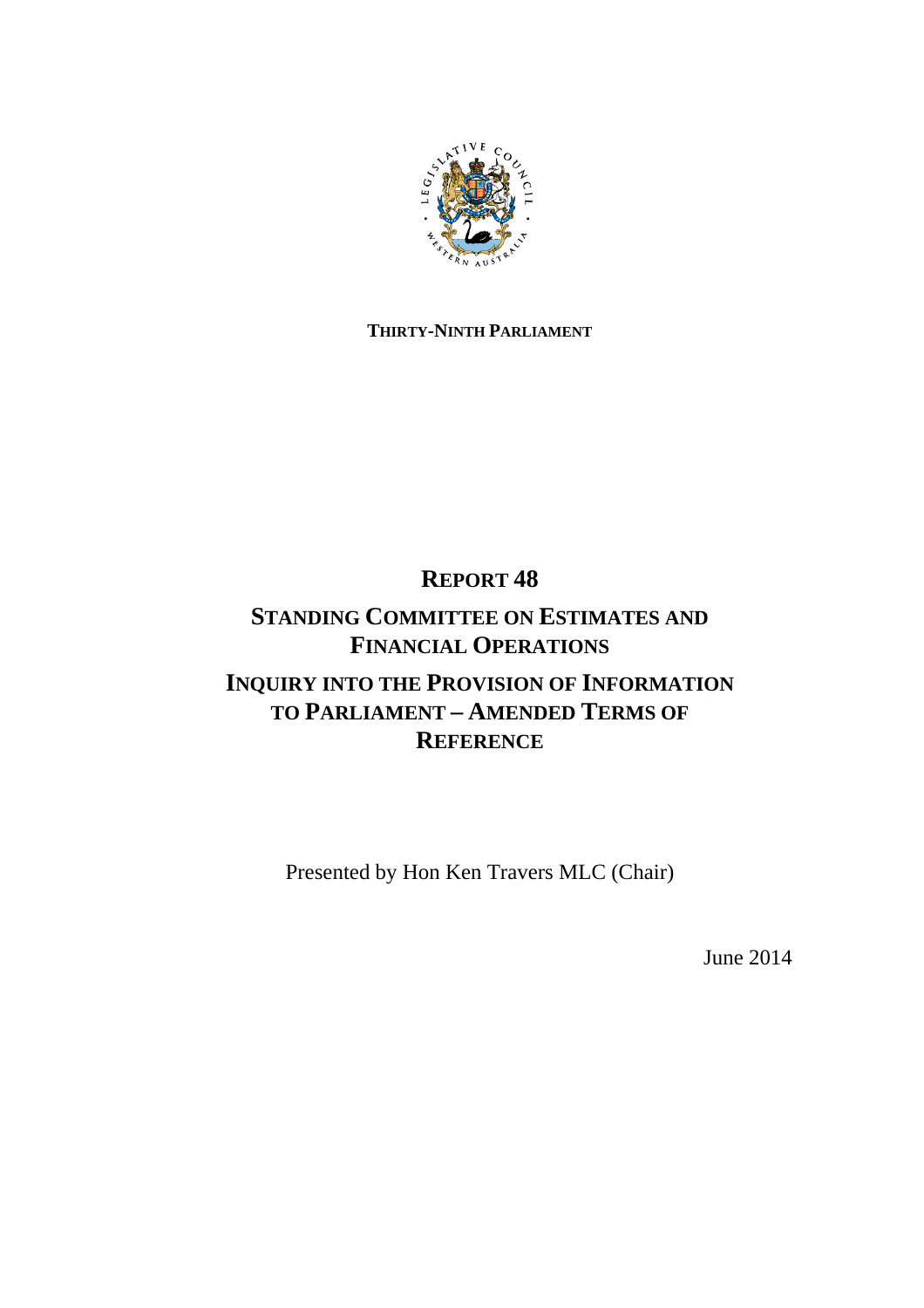

## **THIRTY-NINTH PARLIAMENT**

# **REPORT 48**

# **STANDING COMMITTEE ON ESTIMATES AND FINANCIAL OPERATIONS**

# **INQUIRY INTO THE PROVISION OF INFORMATION TO PARLIAMENT – AMENDED TERMS OF REFERENCE**

Presented by Hon Ken Travers MLC (Chair)

June 2014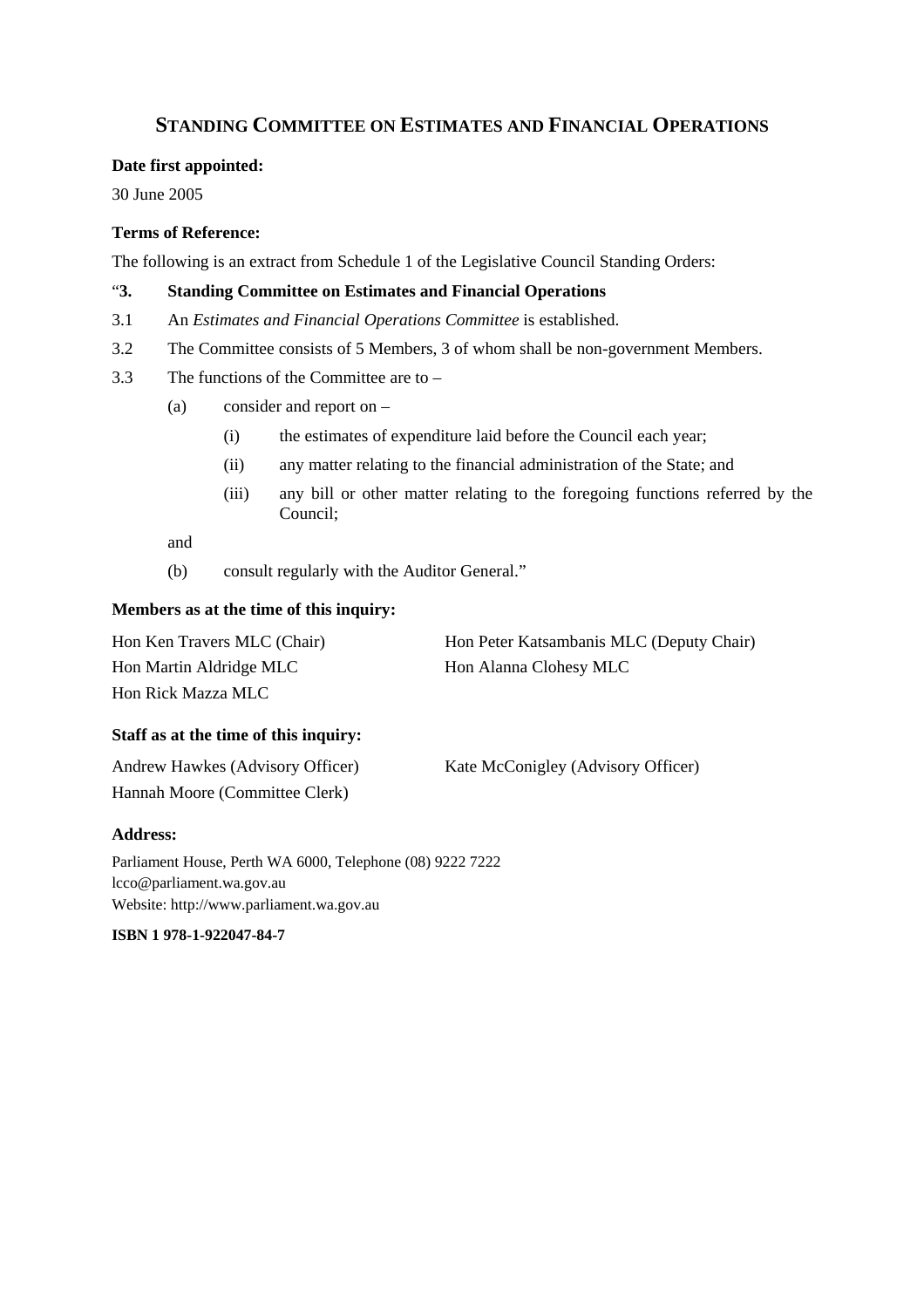## **STANDING COMMITTEE ON ESTIMATES AND FINANCIAL OPERATIONS**

#### **Date first appointed:**

30 June 2005

### **Terms of Reference:**

The following is an extract from Schedule 1 of the Legislative Council Standing Orders:

### "**3. Standing Committee on Estimates and Financial Operations**

- 3.1 An *Estimates and Financial Operations Committee* is established.
- 3.2 The Committee consists of 5 Members, 3 of whom shall be non-government Members.
- 3.3 The functions of the Committee are to
	- (a) consider and report on
		- (i) the estimates of expenditure laid before the Council each year;
		- (ii) any matter relating to the financial administration of the State; and
		- (iii) any bill or other matter relating to the foregoing functions referred by the Council;

and

(b) consult regularly with the Auditor General."

### **Members as at the time of this inquiry:**

| Hon Ken Travers MLC (Chair) | Hon Peter Katsambanis MLC (Deputy Chair) |
|-----------------------------|------------------------------------------|
| Hon Martin Aldridge MLC     | Hon Alanna Clohesy MLC                   |
| Hon Rick Mazza MLC          |                                          |

#### **Staff as at the time of this inquiry:**

| Andrew Hawkes (Advisory Officer) | Kate McConigley (Advisory Officer) |
|----------------------------------|------------------------------------|
| Hannah Moore (Committee Clerk)   |                                    |

#### **Address:**

Parliament House, Perth WA 6000, Telephone (08) 9222 7222 lcco@parliament.wa.gov.au Website: http://www.parliament.wa.gov.au

**ISBN 1 978-1-922047-84-7**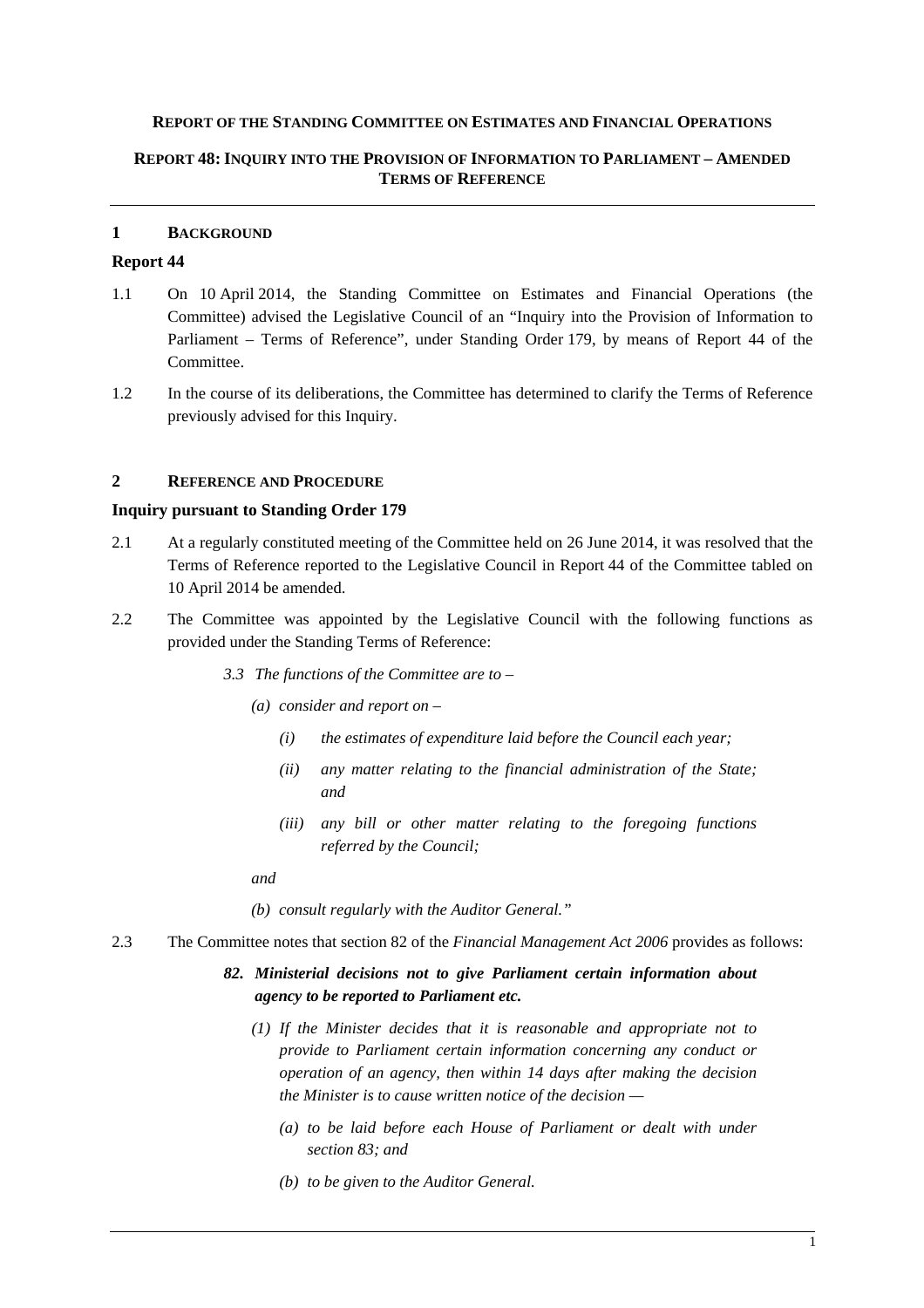#### **REPORT OF THE STANDING COMMITTEE ON ESTIMATES AND FINANCIAL OPERATIONS**

#### **REPORT 48: INQUIRY INTO THE PROVISION OF INFORMATION TO PARLIAMENT – AMENDED TERMS OF REFERENCE**

#### **1 BACKGROUND**

### **Report 44**

- 1.1 On 10 April 2014, the Standing Committee on Estimates and Financial Operations (the Committee) advised the Legislative Council of an "Inquiry into the Provision of Information to Parliament – Terms of Reference", under Standing Order 179, by means of Report 44 of the Committee.
- 1.2 In the course of its deliberations, the Committee has determined to clarify the Terms of Reference previously advised for this Inquiry.

#### **2 REFERENCE AND PROCEDURE**

#### **Inquiry pursuant to Standing Order 179**

- 2.1 At a regularly constituted meeting of the Committee held on 26 June 2014, it was resolved that the Terms of Reference reported to the Legislative Council in Report 44 of the Committee tabled on 10 April 2014 be amended.
- 2.2 The Committee was appointed by the Legislative Council with the following functions as provided under the Standing Terms of Reference:
	- *3.3 The functions of the Committee are to* 
		- *(a) consider and report on* 
			- *(i) the estimates of expenditure laid before the Council each year;*
			- *(ii) any matter relating to the financial administration of the State; and*
			- *(iii) any bill or other matter relating to the foregoing functions referred by the Council;*

*and* 

- *(b) consult regularly with the Auditor General."*
- 2.3 The Committee notes that section 82 of the *Financial Management Act 2006* provides as follows:

### *82. Ministerial decisions not to give Parliament certain information about agency to be reported to Parliament etc.*

- *(1) If the Minister decides that it is reasonable and appropriate not to provide to Parliament certain information concerning any conduct or operation of an agency, then within 14 days after making the decision the Minister is to cause written notice of the decision —* 
	- *(a) to be laid before each House of Parliament or dealt with under section 83; and*
	- *(b) to be given to the Auditor General.*